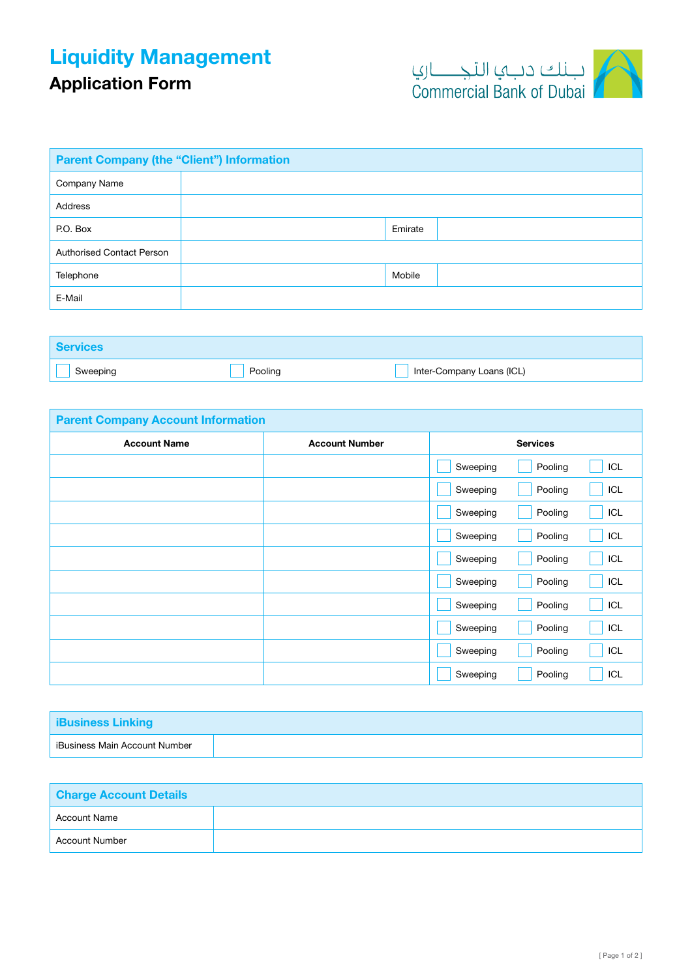## Liquidity Management

## Application Form



| <b>Parent Company (the "Client") Information</b> |  |         |  |
|--------------------------------------------------|--|---------|--|
| Company Name                                     |  |         |  |
| Address                                          |  |         |  |
| P.O. Box                                         |  | Emirate |  |
| <b>Authorised Contact Person</b>                 |  |         |  |
| Telephone                                        |  | Mobile  |  |
| E-Mail                                           |  |         |  |

| <b>Services</b> |         |                           |
|-----------------|---------|---------------------------|
| Sweeping        | Pooling | Inter-Company Loans (ICL) |

| <b>Parent Company Account Information</b> |                       |          |                 |     |
|-------------------------------------------|-----------------------|----------|-----------------|-----|
| <b>Account Name</b>                       | <b>Account Number</b> |          | <b>Services</b> |     |
|                                           |                       | Sweeping | Pooling         | ICL |
|                                           |                       | Sweeping | Pooling         | ICL |
|                                           |                       | Sweeping | Pooling         | ICL |
|                                           |                       | Sweeping | Pooling         | ICL |
|                                           |                       | Sweeping | Pooling         | ICL |
|                                           |                       | Sweeping | Pooling         | ICL |
|                                           |                       | Sweeping | Pooling         | ICL |
|                                           |                       | Sweeping | Pooling         | ICL |
|                                           |                       | Sweeping | Pooling         | ICL |
|                                           |                       | Sweeping | Pooling         | ICL |

| <b>iBusiness Linking</b>      |  |
|-------------------------------|--|
| iBusiness Main Account Number |  |

| <b>Charge Account Details</b> |  |  |
|-------------------------------|--|--|
| Account Name                  |  |  |
| Account Number                |  |  |